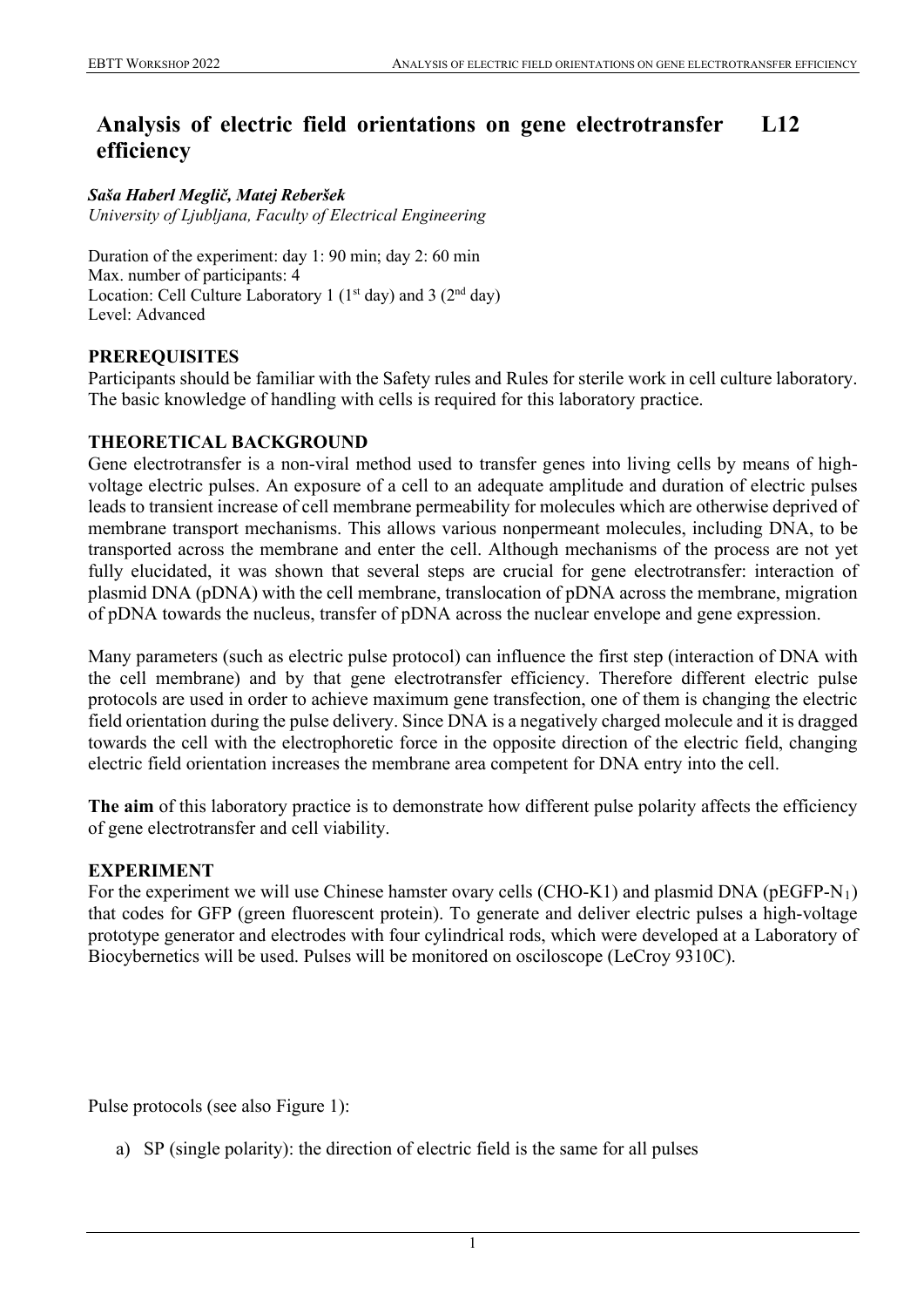### **Analysis of electric field orientations on gene electrotransfer efficiency L12**

*Saša Haberl Meglič, Matej Reberšek University of Ljubljana, Faculty of Electrical Engineering*

Duration of the experiment: day 1: 90 min; day 2: 60 min Max. number of participants: 4 Location: Cell Culture Laboratory 1 ( $1<sup>st</sup>$  day) and 3 ( $2<sup>nd</sup>$  day) Level: Advanced

# **PREREQUISITES**

Participants should be familiar with the Safety rules and Rules for sterile work in cell culture laboratory. The basic knowledge of handling with cells is required for this laboratory practice.

# **THEORETICAL BACKGROUND**

Gene electrotransfer is a non-viral method used to transfer genes into living cells by means of highvoltage electric pulses. An exposure of a cell to an adequate amplitude and duration of electric pulses leads to transient increase of cell membrane permeability for molecules which are otherwise deprived of membrane transport mechanisms. This allows various nonpermeant molecules, including DNA, to be transported across the membrane and enter the cell. Although mechanisms of the process are not yet fully elucidated, it was shown that several steps are crucial for gene electrotransfer: interaction of plasmid DNA (pDNA) with the cell membrane, translocation of pDNA across the membrane, migration of pDNA towards the nucleus, transfer of pDNA across the nuclear envelope and gene expression.

Many parameters (such as electric pulse protocol) can influence the first step (interaction of DNA with the cell membrane) and by that gene electrotransfer efficiency. Therefore different electric pulse protocols are used in order to achieve maximum gene transfection, one of them is changing the electric field orientation during the pulse delivery. Since DNA is a negatively charged molecule and it is dragged towards the cell with the electrophoretic force in the opposite direction of the electric field, changing electric field orientation increases the membrane area competent for DNA entry into the cell.

**The aim** of this laboratory practice is to demonstrate how different pulse polarity affects the efficiency of gene electrotransfer and cell viability.

# **EXPERIMENT**

For the experiment we will use Chinese hamster ovary cells (CHO-K1) and plasmid DNA (pEGFP-N<sub>1</sub>) that codes for GFP (green fluorescent protein). To generate and deliver electric pulses a high-voltage prototype generator and electrodes with four cylindrical rods, which were developed at a Laboratory of Biocybernetics will be used. Pulses will be monitored on osciloscope (LeCroy 9310C).

Pulse protocols (see also Figure 1):

a) SP (single polarity): the direction of electric field is the same for all pulses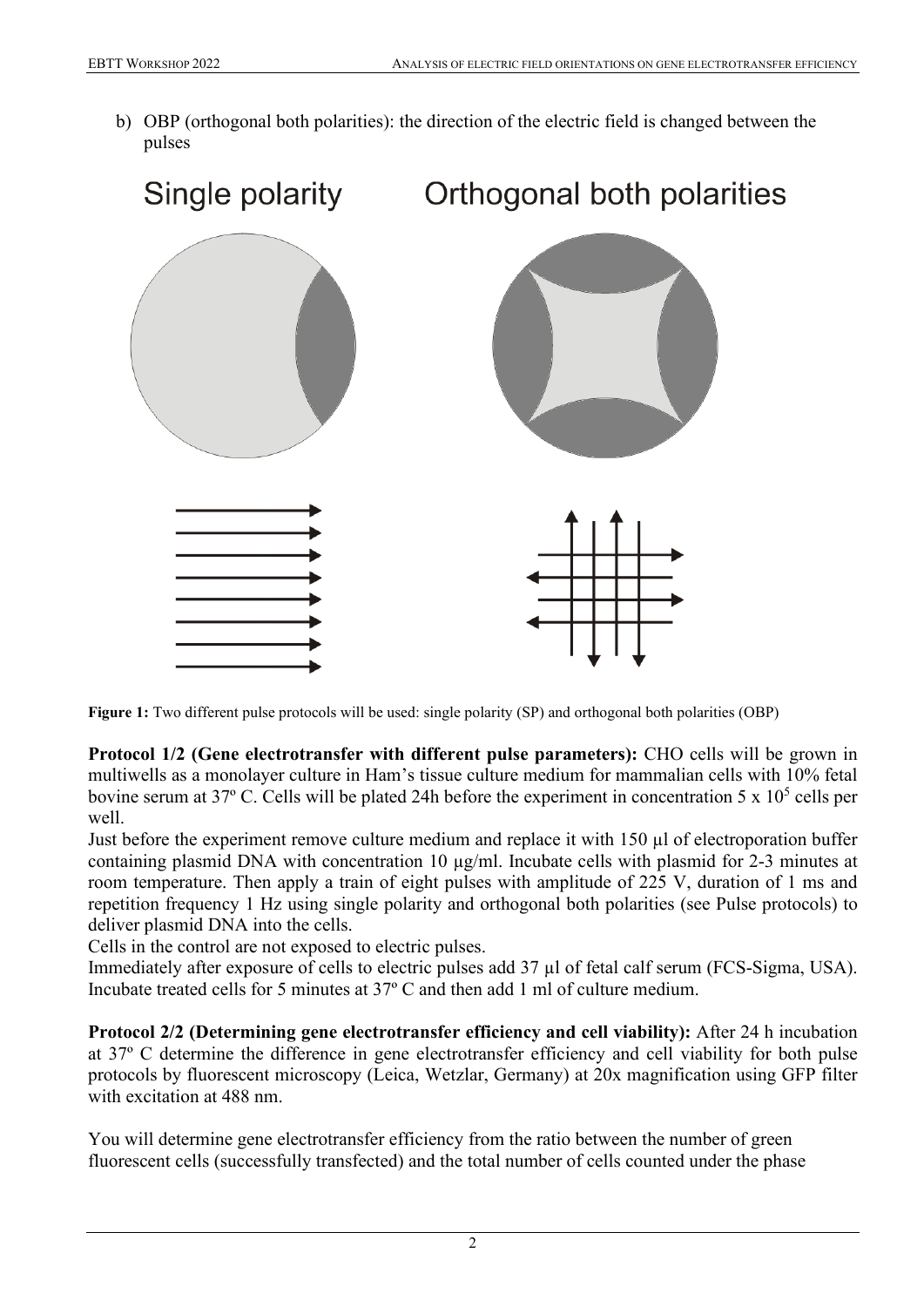b) OBP (orthogonal both polarities): the direction of the electric field is changed between the pulses



**Figure 1:** Two different pulse protocols will be used: single polarity (SP) and orthogonal both polarities (OBP)

**Protocol 1/2 (Gene electrotransfer with different pulse parameters):** CHO cells will be grown in multiwells as a monolayer culture in Ham's tissue culture medium for mammalian cells with 10% fetal bovine serum at 37 $\degree$  C. Cells will be plated 24h before the experiment in concentration 5 x 10<sup>5</sup> cells per well.

Just before the experiment remove culture medium and replace it with 150 µl of electroporation buffer containing plasmid DNA with concentration 10 µg/ml. Incubate cells with plasmid for 2-3 minutes at room temperature. Then apply a train of eight pulses with amplitude of 225 V, duration of 1 ms and repetition frequency 1 Hz using single polarity and orthogonal both polarities (see Pulse protocols) to deliver plasmid DNA into the cells.

Cells in the control are not exposed to electric pulses.

Immediately after exposure of cells to electric pulses add 37 µl of fetal calf serum (FCS-Sigma, USA). Incubate treated cells for 5 minutes at 37º C and then add 1 ml of culture medium.

**Protocol 2/2 (Determining gene electrotransfer efficiency and cell viability):** After 24 h incubation at 37º C determine the difference in gene electrotransfer efficiency and cell viability for both pulse protocols by fluorescent microscopy (Leica, Wetzlar, Germany) at 20x magnification using GFP filter with excitation at 488 nm.

You will determine gene electrotransfer efficiency from the ratio between the number of green fluorescent cells (successfully transfected) and the total number of cells counted under the phase